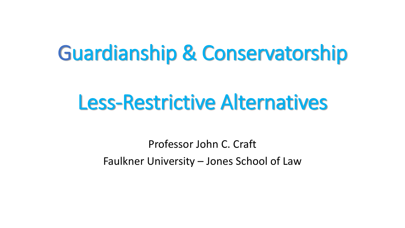# Guardianship & Conservatorship

# Less-Restrictive Alternatives

Professor John C. Craft Faulkner University – Jones School of Law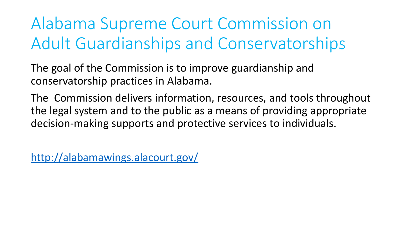Alabama Supreme Court Commission on Adult Guardianships and Conservatorships

The goal of the Commission is to improve guardianship and conservatorship practices in Alabama.

The Commission delivers information, resources, and tools throughout the legal system and to the public as a means of providing appropriate decision-making supports and protective services to individuals.

<http://alabamawings.alacourt.gov/>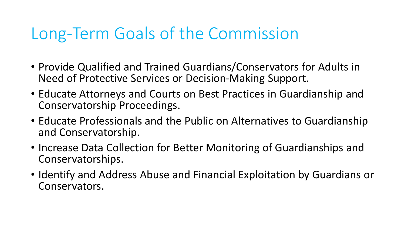# Long-Term Goals of the Commission

- Provide Qualified and Trained Guardians/Conservators for Adults in Need of Protective Services or Decision-Making Support.
- Educate Attorneys and Courts on Best Practices in Guardianship and Conservatorship Proceedings.
- Educate Professionals and the Public on Alternatives to Guardianship and Conservatorship.
- Increase Data Collection for Better Monitoring of Guardianships and Conservatorships.
- Identify and Address Abuse and Financial Exploitation by Guardians or Conservators.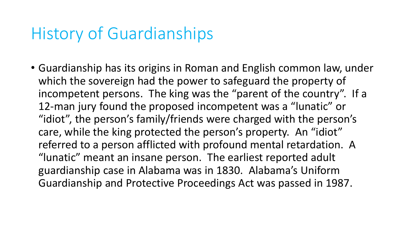## History of Guardianships

• Guardianship has its origins in Roman and English common law, under which the sovereign had the power to safeguard the property of incompetent persons. The king was the "parent of the country". If a 12-man jury found the proposed incompetent was a "lunatic" or "idiot", the person's family/friends were charged with the person's care, while the king protected the person's property. An "idiot" referred to a person afflicted with profound mental retardation. A "lunatic" meant an insane person. The earliest reported adult guardianship case in Alabama was in 1830. Alabama's Uniform Guardianship and Protective Proceedings Act was passed in 1987.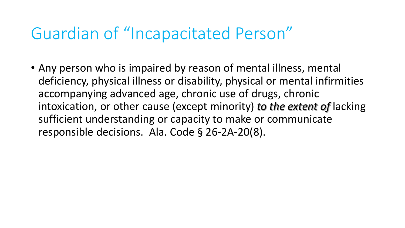## Guardian of "Incapacitated Person"

• Any person who is impaired by reason of mental illness, mental deficiency, physical illness or disability, physical or mental infirmities accompanying advanced age, chronic use of drugs, chronic intoxication, or other cause (except minority) *to the extent of* lacking sufficient understanding or capacity to make or communicate responsible decisions. Ala. Code § 26-2A-20(8).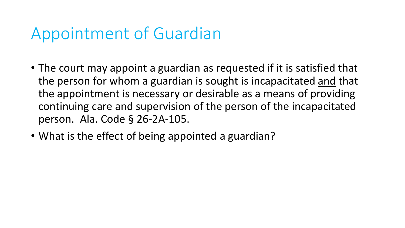# Appointment of Guardian

- The court may appoint a guardian as requested if it is satisfied that the person for whom a guardian is sought is incapacitated and that the appointment is necessary or desirable as a means of providing continuing care and supervision of the person of the incapacitated person. Ala. Code § 26-2A-105.
- What is the effect of being appointed a guardian?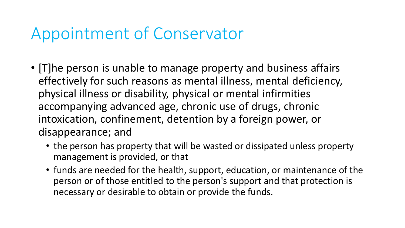# Appointment of Conservator

- [T]he person is unable to manage property and business affairs effectively for such reasons as mental illness, mental deficiency, physical illness or disability, physical or mental infirmities accompanying advanced age, chronic use of drugs, chronic intoxication, confinement, detention by a foreign power, or disappearance; and
	- the person has property that will be wasted or dissipated unless property management is provided, or that
	- funds are needed for the health, support, education, or maintenance of the person or of those entitled to the person's support and that protection is necessary or desirable to obtain or provide the funds.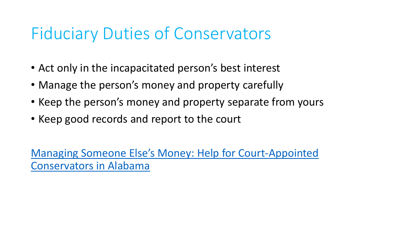# Fiduciary Duties of Conservators

- Act only in the incapacitated person's best interest
- Manage the person's money and property carefully
- Keep the person's money and property separate from yours
- Keep good records and report to the court

[Managing Someone Else's Money: Help for Court](http://alabamawings.alacourt.gov/media/1042/alabama-conservators-guide.pdf)-Appointed Conservators in Alabama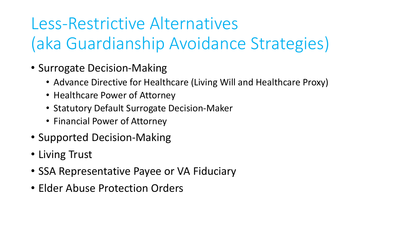# Less-Restrictive Alternatives (aka Guardianship Avoidance Strategies)

- Surrogate Decision-Making
	- Advance Directive for Healthcare (Living Will and Healthcare Proxy)
	- Healthcare Power of Attorney
	- Statutory Default Surrogate Decision-Maker
	- Financial Power of Attorney
- Supported Decision-Making
- Living Trust
- SSA Representative Payee or VA Fiduciary
- Elder Abuse Protection Orders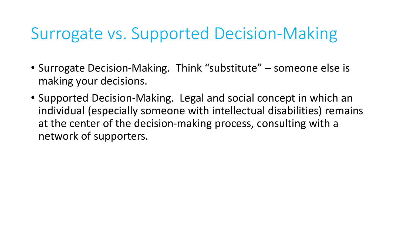# Surrogate vs. Supported Decision-Making

- Surrogate Decision-Making. Think "substitute" someone else is making your decisions.
- Supported Decision-Making. Legal and social concept in which an individual (especially someone with intellectual disabilities) remains at the center of the decision-making process, consulting with a network of supporters.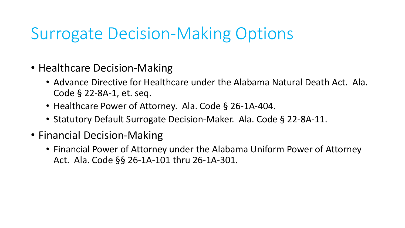# Surrogate Decision-Making Options

- Healthcare Decision-Making
	- Advance Directive for Healthcare under the Alabama Natural Death Act. Ala. Code § 22-8A-1, et. seq.
	- Healthcare Power of Attorney. Ala. Code § 26-1A-404.
	- Statutory Default Surrogate Decision-Maker. Ala. Code § 22-8A-11.
- Financial Decision-Making
	- Financial Power of Attorney under the Alabama Uniform Power of Attorney Act. Ala. Code §§ 26-1A-101 thru 26-1A-301.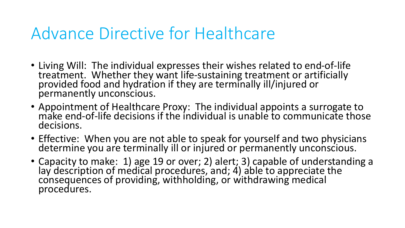# Advance Directive for Healthcare

- Living Will: The individual expresses their wishes related to end-of-life treatment. Whether they want life-sustaining treatment or artificially provided food and hydration if they are terminally ill/injured or permanently unconscious.
- Appointment of Healthcare Proxy: The individual appoints a surrogate to make end-of-life decisions if the individual is unable to communicate those decisions.
- Effective: When you are not able to speak for yourself and two physicians determine you are terminally ill or injured or permanently unconscious.
- Capacity to make: 1) age 19 or over; 2) alert; 3) capable of understanding a lay description of medical procedures, and; 4) able to appreciate the consequences of providing, withholding, or withdrawing medical procedures.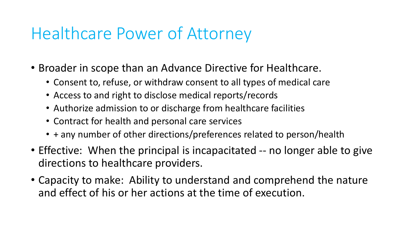# Healthcare Power of Attorney

- Broader in scope than an Advance Directive for Healthcare.
	- Consent to, refuse, or withdraw consent to all types of medical care
	- Access to and right to disclose medical reports/records
	- Authorize admission to or discharge from healthcare facilities
	- Contract for health and personal care services
	- + any number of other directions/preferences related to person/health
- Effective: When the principal is incapacitated -- no longer able to give directions to healthcare providers.
- Capacity to make: Ability to understand and comprehend the nature and effect of his or her actions at the time of execution.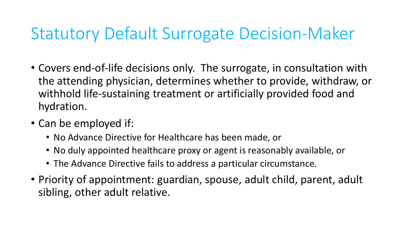# Statutory Default Surrogate Decision-Maker

- Covers end-of-life decisions only. The surrogate, in consultation with the attending physician, determines whether to provide, withdraw, or withhold life-sustaining treatment or artificially provided food and hydration.
- Can be employed if:
	- No Advance Directive for Healthcare has been made, or
	- No duly appointed healthcare proxy or agent is reasonably available, or
	- The Advance Directive fails to address a particular circumstance.
- Priority of appointment: guardian, spouse, adult child, parent, adult sibling, other adult relative.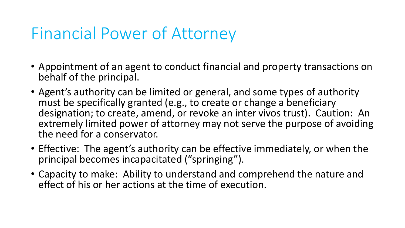# Financial Power of Attorney

- Appointment of an agent to conduct financial and property transactions on behalf of the principal.
- Agent's authority can be limited or general, and some types of authority must be specifically granted (e.g., to create or change a beneficiary designation; to create, amend, or revoke an inter vivos trust). Caution: An extremely limited power of attorney may not serve the purpose of avoiding the need for a conservator.
- Effective: The agent's authority can be effective immediately, or when the principal becomes incapacitated ("springing").
- Capacity to make: Ability to understand and comprehend the nature and effect of his or her actions at the time of execution.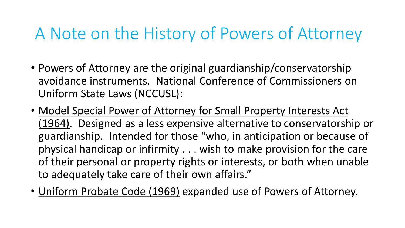# A Note on the History of Powers of Attorney

- Powers of Attorney are the original guardianship/conservatorship avoidance instruments. National Conference of Commissioners on Uniform State Laws (NCCUSL):
- Model Special Power of Attorney for Small Property Interests Act (1964). Designed as a less expensive alternative to conservatorship or guardianship. Intended for those "who, in anticipation or because of physical handicap or infirmity . . . wish to make provision for the care of their personal or property rights or interests, or both when unable to adequately take care of their own affairs."
- Uniform Probate Code (1969) expanded use of Powers of Attorney.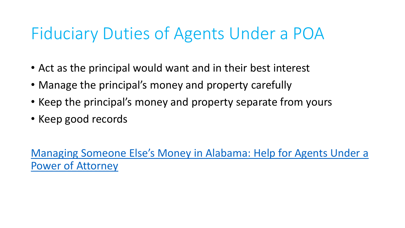# Fiduciary Duties of Agents Under a POA

- Act as the principal would want and in their best interest
- Manage the principal's money and property carefully
- Keep the principal's money and property separate from yours
- Keep good records

[Managing Someone Else's Money in Alabama: Help for Agents Under a](http://alabamawings.alacourt.gov/media/1040/managing-someone-elses-money-in-alabama-help-for-agents-under-a-power-of-attorney.pdf)  Power of Attorney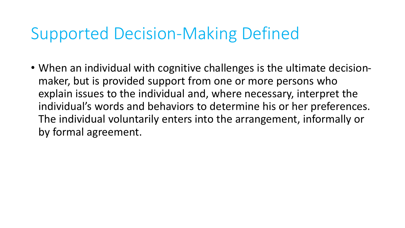# Supported Decision-Making Defined

• When an individual with cognitive challenges is the ultimate decisionmaker, but is provided support from one or more persons who explain issues to the individual and, where necessary, interpret the individual's words and behaviors to determine his or her preferences. The individual voluntarily enters into the arrangement, informally or by formal agreement.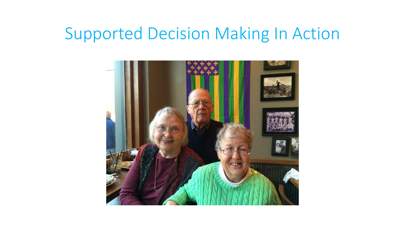#### Supported Decision Making In Action

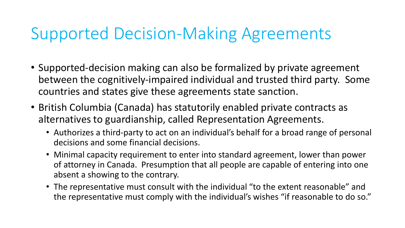## Supported Decision-Making Agreements

- Supported-decision making can also be formalized by private agreement between the cognitively-impaired individual and trusted third party. Some countries and states give these agreements state sanction.
- British Columbia (Canada) has statutorily enabled private contracts as alternatives to guardianship, called Representation Agreements.
	- Authorizes a third-party to act on an individual's behalf for a broad range of personal decisions and some financial decisions.
	- Minimal capacity requirement to enter into standard agreement, lower than power of attorney in Canada. Presumption that all people are capable of entering into one absent a showing to the contrary.
	- The representative must consult with the individual "to the extent reasonable" and the representative must comply with the individual's wishes "if reasonable to do so."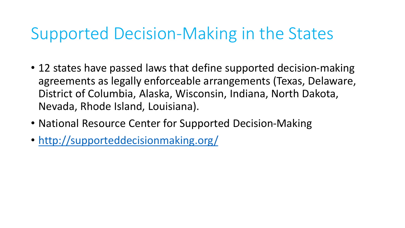# Supported Decision-Making in the States

- 12 states have passed laws that define supported decision-making agreements as legally enforceable arrangements (Texas, Delaware, District of Columbia, Alaska, Wisconsin, Indiana, North Dakota, Nevada, Rhode Island, Louisiana).
- National Resource Center for Supported Decision-Making
- <http://supporteddecisionmaking.org/>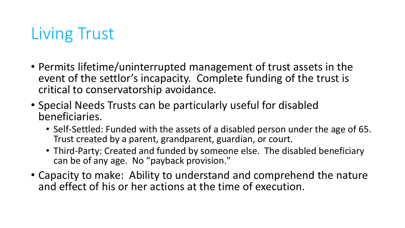# Living Trust

- Permits lifetime/uninterrupted management of trust assets in the event of the settlor's incapacity. Complete funding of the trust is critical to conservatorship avoidance.
- Special Needs Trusts can be particularly useful for disabled beneficiaries.
	- Self-Settled: Funded with the assets of a disabled person under the age of 65. Trust created by a parent, grandparent, guardian, or court.
	- Third-Party: Created and funded by someone else. The disabled beneficiary can be of any age. No "payback provision."
- Capacity to make: Ability to understand and comprehend the nature and effect of his or her actions at the time of execution.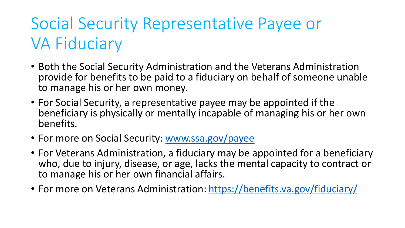# Social Security Representative Payee or VA Fiduciary

- Both the Social Security Administration and the Veterans Administration provide for benefits to be paid to a fiduciary on behalf of someone unable to manage his or her own money.
- For Social Security, a representative payee may be appointed if the beneficiary is physically or mentally incapable of managing his or her own benefits.
- For more on Social Security: [www.ssa.gov/payee](http://www.ssa.gov/payee)
- For Veterans Administration, a fiduciary may be appointed for a beneficiary who, due to injury, disease, or age, lacks the mental capacity to contract or to manage his or her own financial affairs.
- For more on Veterans Administration:<https://benefits.va.gov/fiduciary/>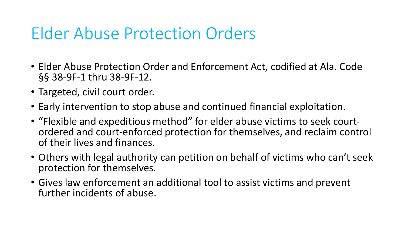## Elder Abuse Protection Orders

- Elder Abuse Protection Order and Enforcement Act, codified at Ala. Code §§ 38-9F-1 thru 38-9F-12.
- Targeted, civil court order.
- Early intervention to stop abuse and continued financial exploitation.
- "Flexible and expeditious method" for elder abuse victims to seek courtordered and court-enforced protection for themselves, and reclaim control of their lives and finances.
- Others with legal authority can petition on behalf of victims who can't seek protection for themselves.
- Gives law enforcement an additional tool to assist victims and prevent further incidents of abuse.